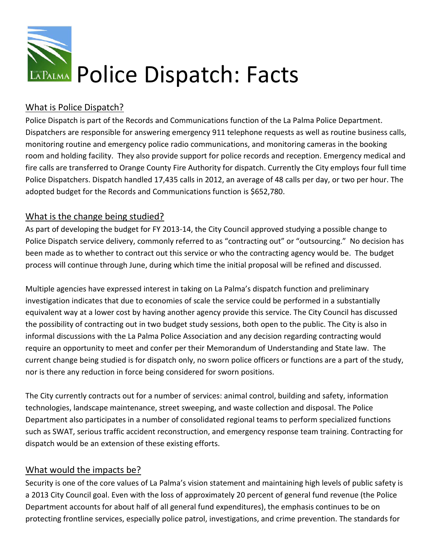

# What is Police Dispatch?

Police Dispatch is part of the Records and Communications function of the La Palma Police Department.<br>Dispatchers are responsible for answering emergency 911 telephone requests as well as routine busines Dispatchers are responsible for answering emergency 911 telephone requests as routine business calls, monitoring routine and emergency police radio communications, and monitoring cameras in the booking room and holding facility. They also provide support for police records and reception. Emergency medical and monitoring routine and emergency police radio communications, and monitoring cameras in the booking<br>room and holding facility. They also provide support for police records and reception. Emergency medical and<br>fire calls ar Police Dispatchers. Dispatch handled 17,435 calls in 2012, an average of 48 calls per day, or two per hour. The adopted budget for the Records and Communications function is \$652,780.

## What is the change being studied?

As part of developing the budget for FY 2013-14, the City Council approved studying a possible change to As part of developing the budget for FY 2013-14, the City Council approved studying a possible change to<br>Police Dispatch service delivery, commonly referred to as "contracting out" or "outsourcing." No decision has been made as to whether to contract out this service or who the contracting agency would be. The budget process will continue through June, during which time the initial proposal will be refined and discussed.

process will continue through June, during which time the initial proposal will be refined and discuss<br>Multiple agencies have expressed interest in taking on La Palma's dispatch function and preliminary investigation indicates that due to economies of scale the service could be performed in a substantially equivalent way at a lower cost by having another agency provide this service. The City Council has discussed the possibility of contracting out in two budget study sessions, both open to the public. The City is also ii<br>informal discussions with the La Palma Police Association and any decision regarding contracting would informal discussions with the La Palma Police Association and any decision regarding contracting would<br>require an opportunity to meet and confer per their Memorandum of Understanding and State law. The require an opportunity to meet and confer per their Memorandum of Understanding and State law current change being studied is for dispatch only, no sworn police officers or functions are a part of the study, nor is there any reduction in force being considered for sworn positions. the service could be performed in a substantially<br>icy provide this service. The City Council has discuss<br>iessions, both open to the public. The City is also in

The City currently contracts out for a number of services: animal control, building and safety, information<br>technologies, landscape maintenance, street sweeping, and waste collection and disposal. The Police technologies, landscape maintenance, street sweeping, and waste collection and disposal Department also participates in a number of consolidated regional teams to perform specialized functions such as SWAT, serious traffic accident reconstruction, and emergency response team training. Contracting for dispatch would be an extension of these existing efforts.

## What would the impacts be?

Security is one of the core values of La Palma's vision statement and maintaining high levels of public safety is<br>a 2013 City Council goal. Even with the loss of approximately 20 percent of general fund revenue (the Police a 2013 City Council goal. Even with the loss of approximately 20 percent of general fund revenue ( Department accounts for about half of all general fund expenditures), the emphasis continues to be on protecting frontline services, especially police patrol, investigations, and crime prevention. The standards for